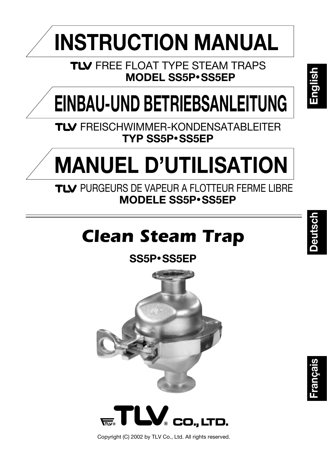# **INSTRUCTION MANUAL**

**TLV FREE FLOAT TYPE STEAM TRAPS MODEL SS5P**•**SS5EP**

# **EINBAU-UND BETRIEBSANLEITUNG**

**TLV FREISCHWIMMER-KONDENSATABLEITER TYP SS5P**•**SS5EP**

# **MANUEL D'UTILISATION**

**TLV PURGEURS DE VAPEUR A FLOTTEUR FERME LIBRE MODELE SS5P**•**SS5EP**

# *Clean Steam Trap*

#### **SS5P**•**SS5EP**





Copyright (C) 2002 by TLV Co., Ltd. All rights reserved.

English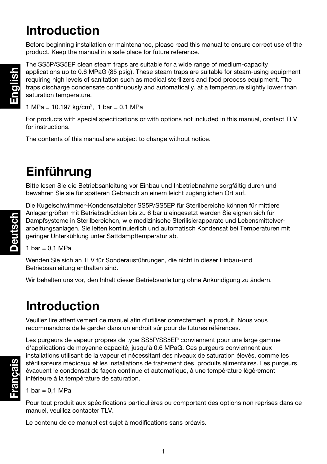#### **Introduction**

Before beginning installation or maintenance, please read this manual to ensure correct use of the product. Keep the manual in a safe place for future reference.

The SS5P/SS5EP clean steam traps are suitable for a wide range of medium-capacity applications up to 0.6 MPaG (85 psig). These steam traps are suitable for steam-using equipment requiring high levels of sanitation such as medical sterilizers and food process equipment. The traps discharge condensate continuously and automatically, at a temperature slightly lower than saturation temperature.

1 MPa = 10.197 kg/cm<sup>2</sup>, 1 bar = 0.1 MPa

For products with special specifications or with options not included in this manual, contact TLV for instructions.

The contents of this manual are subject to change without notice.

#### **Einführung**

Bitte lesen Sie die Betriebsanleitung vor Einbau und Inbetriebnahme sorgfältig durch und bewahren Sie sie für späteren Gebrauch an einem leicht zugänglichen Ort auf.

Die Kugelschwimmer-Kondensataleiter SS5P/SS5EP für Sterilbereiche können für mittlere Anlagengrößen mit Betriebsdrücken bis zu 6 bar ü eingesetzt werden Sie eignen sich für Dampfsysteme in Sterilbereichen, wie medizinische Sterilisierapparate und Lebensmittelverarbeitungsanlagen. Sie leiten kontinuierlich und automatisch Kondensat bei Temperaturen mit geringer Unterkühlung unter Sattdampftemperatur ab.

 $1 bar = 0.1 MPa$ 

Wenden Sie sich an TLV für Sonderausführungen, die nicht in dieser Einbau-und Betriebsanleitung enthalten sind.

Wir behalten uns vor, den Inhalt dieser Betriebsanleitung ohne Ankündigung zu ändern.

#### **Introduction**

Veuillez lire attentivement ce manuel afin d'utiliser correctement le produit. Nous vous recommandons de le garder dans un endroit sûr pour de futures références.

Les purgeurs de vapeur propres de type SS5P/SS5EP conviennent pour une large gamme d'applications de moyenne capacité, jusqu'à 0.6 MPaG. Ces purgeurs conviennent aux installations utilisant de la vapeur et nécessitant des niveaux de saturation élevés, comme les stérilisateurs médicaux et les installations de traitement des produits alimentaires. Les purgeurs évacuent le condensat de façon continue et automatique, à une température légèrement inférieure à la température de saturation.

#### 1 bar = 0,1 MPa

Pour tout produit aux spécifications particulières ou comportant des options non reprises dans ce manuel, veuillez contacter TLV.

Le contenu de ce manuel est sujet à modifications sans préavis.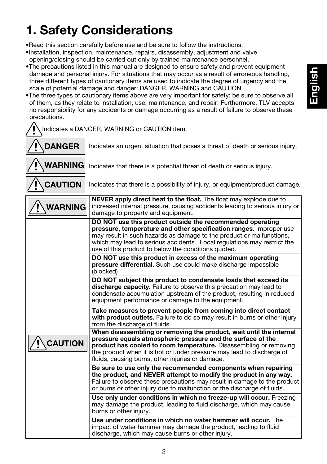## **1. Safety Considerations**

•Read this section carefully before use and be sure to follow the instructions.

- •Installation, inspection, maintenance, repairs, disassembly, adjustment and valve opening/closing should be carried out only by trained maintenance personnel.
- •The precautions listed in this manual are designed to ensure safety and prevent equipment damage and personal injury. For situations that may occur as a result of erroneous handling, three different types of cautionary items are used to indicate the degree of urgency and the scale of potential damage and danger: DANGER, WARNING and CAUTION.
- •The three types of cautionary items above are very important for safety; be sure to observe all of them, as they relate to installation, use, maintenance, and repair. Furthermore, TLV accepts no responsibility for any accidents or damage occurring as a result of failure to observe these precautions.
- Indicates a DANGER, WARNING or CAUTION item.

| <b>DANGER</b>                                                                                                                                                                  | Indicates an urgent situation that poses a threat of death or serious injury.                                                                                                                                                                                                                                                             |  |
|--------------------------------------------------------------------------------------------------------------------------------------------------------------------------------|-------------------------------------------------------------------------------------------------------------------------------------------------------------------------------------------------------------------------------------------------------------------------------------------------------------------------------------------|--|
| WARNINGI                                                                                                                                                                       | Indicates that there is a potential threat of death or serious injury.                                                                                                                                                                                                                                                                    |  |
| <b>CAUTION</b>                                                                                                                                                                 | Indicates that there is a possibility of injury, or equipment/product damage.                                                                                                                                                                                                                                                             |  |
| <b>WARNING</b>                                                                                                                                                                 | <b>NEVER apply direct heat to the float.</b> The float may explode due to<br>increased internal pressure, causing accidents leading to serious injury or<br>damage to property and equipment.                                                                                                                                             |  |
|                                                                                                                                                                                | DO NOT use this product outside the recommended operating<br>pressure, temperature and other specification ranges. Improper use<br>may result in such hazards as damage to the product or malfunctions,<br>which may lead to serious accidents. Local regulations may restrict the<br>use of this product to below the conditions quoted. |  |
| DO NOT use this product in excess of the maximum operating<br>pressure differential. Such use could make discharge impossible<br>(blocked)                                     |                                                                                                                                                                                                                                                                                                                                           |  |
|                                                                                                                                                                                | DO NOT subject this product to condensate loads that exceed its<br>discharge capacity. Failure to observe this precaution may lead to<br>condensate accumulation upstream of the product, resulting in reduced<br>equipment performance or damage to the equipment.                                                                       |  |
| Take measures to prevent people from coming into direct contact<br>with product outlets. Failure to do so may result in burns or other injury<br>from the discharge of fluids. |                                                                                                                                                                                                                                                                                                                                           |  |
| <b>CAUTION</b>                                                                                                                                                                 | When disassembling or removing the product, wait until the internal<br>pressure equals atmospheric pressure and the surface of the<br>product has cooled to room temperature. Disassembling or removing<br>the product when it is hot or under pressure may lead to discharge of<br>fluids, causing burns, other injuries or damage.      |  |
|                                                                                                                                                                                | Be sure to use only the recommended components when repairing<br>the product, and NEVER attempt to modify the product in any way.<br>Failure to observe these precautions may result in damage to the product<br>or burns or other injury due to malfunction or the discharge of fluids.                                                  |  |
|                                                                                                                                                                                | Use only under conditions in which no freeze-up will occur. Freezing<br>may damage the product, leading to fluid discharge, which may cause<br>burns or other injury.                                                                                                                                                                     |  |
|                                                                                                                                                                                | Use under conditions in which no water hammer will occur. The<br>impact of water hammer may damage the product, leading to fluid<br>discharge, which may cause burns or other injury.                                                                                                                                                     |  |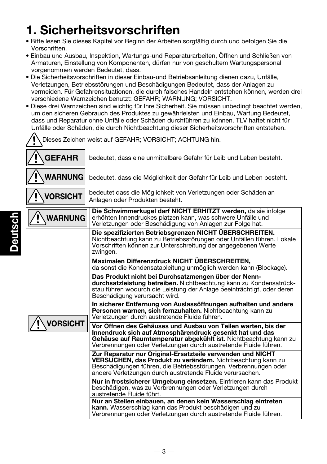# **1. Sicherheitsvorschriften**

- Bitte lesen Sie dieses Kapitel vor Beginn der Arbeiten sorgfältig durch und befolgen Sie die Vorschriften.
- Einbau und Ausbau, Inspektion, Wartungs-und Reparaturarbeiten, Öffnen und Schließen von Armaturen, Einstellung von Komponenten, dürfen nur von geschultem Wartungspersonal vorgenommen werden Bedeutet, dass.
- Die Sicherheitsvorschriften in dieser Einbau-und Betriebsanleitung dienen dazu, Unfälle, Verletzungen, Betriebsstörungen und Beschädigungen Bedeutet, dass der Anlagen zu vermeiden. Für Gefahrensituationen, die durch falsches Handeln entstehen können, werden drei verschiedene Warnzeichen benutzt: GEFAHR; WARNUNG; VORSICHT.
- Diese drei Warnzeichen sind wichtig für Ihre Sicherheit. Sie müssen unbedingt beachtet werden, um den sicheren Gebrauch des Produktes zu gewährleisten und Einbau, Wartung Bedeutet, dass und Reparatur ohne Unfälle oder Schäden durchführen zu können. TLV haftet nicht für Unfälle oder Schäden, die durch Nichtbeachtung dieser Sicherheitsvorschriften entstehen.<br>∧

| Dieses Zeichen weist auf GEFAHR: VORSICHT: ACHTUNG hin. |                                                                                                                                                                                                                                                                   |  |  |
|---------------------------------------------------------|-------------------------------------------------------------------------------------------------------------------------------------------------------------------------------------------------------------------------------------------------------------------|--|--|
| <b>GEFAHR</b>                                           | bedeutet, dass eine unmittelbare Gefahr für Leib und Leben besteht.                                                                                                                                                                                               |  |  |
| WARNUNG                                                 | bedeutet, dass die Möglichkeit der Gefahr für Leib und Leben besteht.                                                                                                                                                                                             |  |  |
| <b>VORSICHT</b>                                         | bedeutet dass die Möglichkeit von Verletzungen oder Schäden an<br>Anlagen oder Produkten besteht.                                                                                                                                                                 |  |  |
| <b>WARNUNG</b>                                          | Die Schwimmerkugel darf NICHT ERHITZT werden, da sie infolge<br>erhöhten Innendruckes platzen kann, was schwere Unfälle und<br>Verletzungen oder Beschädigung von Anlagen zur Folge hat.                                                                          |  |  |
|                                                         | Die spezifizierten Betriebsgrenzen NICHT ÜBERSCHREITEN.<br>Nichtbeachtung kann zu Betriebsstörungen oder Unfällen führen. Lokale<br>Vorschriften können zur Unterschreitung der angegebenen Werte<br>zwingen.                                                     |  |  |
|                                                         | Maximalen Differenzdruck NICHT ÜBERSCHREITEN,<br>da sonst die Kondensatableitung unmöglich werden kann (Blockage).                                                                                                                                                |  |  |
|                                                         | Das Produkt nicht bei Durchsatzmengen über der Nenn-<br>durchsatzleistung betreiben. Nichtbeachtung kann zu Kondensatrück-<br>stau führen wodurch die Leistung der Anlage beeinträchtigt, oder deren<br>Beschädigung verursacht wird.                             |  |  |
|                                                         | In sicherer Entfernung von Auslassöffnungen aufhalten und andere<br>Personen warnen, sich fernzuhalten. Nichtbeachtung kann zu<br>Verletzungen durch austretende Fluide führen.                                                                                   |  |  |
| <b>VORSICHT</b>                                         | Vor Öffnen des Gehäuses und Ausbau von Teilen warten, bis der<br>Innendruck sich auf Atmosphärendruck gesenkt hat und das<br>Gehäuse auf Raumtemperatur abgekühlt ist. Nichtbeachtung kann zu<br>Verbrennungen oder Verletzungen durch austretende Fluide führen. |  |  |
|                                                         | Zur Reparatur nur Original-Ersatzteile verwenden und NICHT<br>VERSUCHEN, das Produkt zu verändern. Nichtbeachtung kann zu<br>Beschädigungen führen, die Betriebsstörungen, Verbrennungen oder<br>andere Verletzungen durch austretende Fluide verursachen.        |  |  |
|                                                         | Nur in frostsicherer Umgebung einsetzen. Einfrieren kann das Produkt<br>beschädigen, was zu Verbrennungen oder Verletzungen durch<br>austretende Fluide führt.                                                                                                    |  |  |
|                                                         | Nur an Stellen einbauen, an denen kein Wasserschlag eintreten<br>kann. Wasserschlag kann das Produkt beschädigen und zu<br>Verbrennungen oder Verletzungen durch austretende Fluide führen.                                                                       |  |  |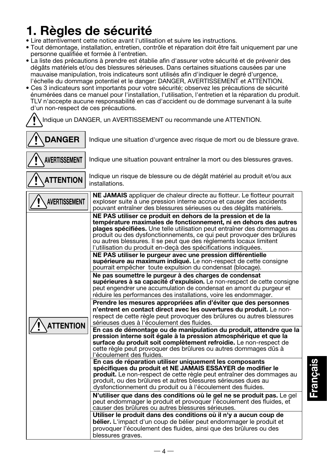# **1. Règles de sécurité**

- Lire attentivement cette notice avant l'utilisation et suivre les instructions.
- Tout démontage, installation, entretien, contrôle et réparation doit être fait uniquement par une personne qualifiée et formée à l'entretien.
- La liste des précautions à prendre est établie afin d'assurer votre sécurité et de prévenir des dégâts matériels et/ou des blessures sérieuses. Dans certaines situations causées par une mauvaise manipulation, trois indicateurs sont utilisés afin d'indiquer le degré d'urgence, l'échelle du dommage potentiel et le danger: DANGER, AVERTISSEMENT et ATTENTION.
- Ces 3 indicateurs sont importants pour votre sécurité; observez les précautions de sécurité énumérées dans ce manuel pour l'installation, l'utilisation, l'entretien et la réparation du produit. TLV n'accepte aucune responsabilité en cas d'accident ou de dommage survenant à la suite d'un non-respect de ces précautions.

Indique un DANGER, un AVERTISSEMENT ou recommande une ATTENTION.

| <b>DANGER</b>        | Indique une situation d'urgence avec risque de mort ou de blessure grave.                                                                                                                                                                                                                                                                                                                                                    |
|----------------------|------------------------------------------------------------------------------------------------------------------------------------------------------------------------------------------------------------------------------------------------------------------------------------------------------------------------------------------------------------------------------------------------------------------------------|
| AVERTISSEMENT        | Indique une situation pouvant entraîner la mort ou des blessures graves.                                                                                                                                                                                                                                                                                                                                                     |
| <b>ATTENTION</b>     | Indique un risque de blessure ou de dégât matériel au produit et/ou aux<br>installations.                                                                                                                                                                                                                                                                                                                                    |
| <b>AVERTISSEMENT</b> | NE JAMAIS appliquer de chaleur directe au flotteur. Le flotteur pourrait<br>exploser suite à une pression interne accrue et causer des accidents<br>pouvant entraîner des blessures sérieuses ou des dégâts matériels.                                                                                                                                                                                                       |
|                      | NE PAS utiliser ce produit en dehors de la pression et de la<br>température maximales de fonctionnement, ni en dehors des autres<br>plages spécifiées. Une telle utilisation peut entraîner des dommages au<br>produit ou des dysfonctionnements, ce qui peut provoquer des brûlures<br>ou autres blessures. Il se peut que des règlements locaux limitent<br>l'utilisation du produit en-deçà des spécifications indiquées. |
|                      | NE PAS utiliser le purgeur avec une pression différentielle<br>supérieure au maximum indiqué. Le non-respect de cette consigne<br>pourrait empêcher toute expulsion du condensat (blocage).                                                                                                                                                                                                                                  |
|                      | Ne pas soumettre le purgeur à des charges de condensat<br>supérieures à sa capacité d'expulsion. Le non-respect de cette consigne<br>peut engendrer une accumulation de condensat en amont du purgeur et<br>réduire les performances des installations, voire les endommager.                                                                                                                                                |
| <b>ATTENTION</b>     | Prendre les mesures appropriées afin d'éviter que des personnes<br>n'entrent en contact direct avec les ouvertures du produit. Le non-<br>respect de cette règle peut provoquer des brûlures ou autres blessures<br>sérieuses dues à l'écoulement des fluides.                                                                                                                                                               |
|                      | En cas de démontage ou de manipulation du produit, attendre que la<br>pression interne soit égale à la pression atmosphérique et que la<br>surface du produit soit complètement refroidie. Le non-respect de<br>cette règle peut provoquer des brûlures ou autres dommages dûs à<br>l'écoulement des fluides.                                                                                                                |
|                      | En cas de réparation utiliser uniquement les composants<br>spécifiques du produit et NE JAMAIS ESSAYER de modifier le<br>produit. Le non-respect de cette règle peut entraîner des dommages au<br>produit, ou des brûlures et autres blessures sérieuses dues au<br>dysfonctionnement du produit ou à l'écoulement des fluides.                                                                                              |
|                      | N'utiliser que dans des conditions où le gel ne se produit pas. Le gel<br>peut endommager le produit et provoguer l'écoulement des fluides, et<br>causer des brûlures ou autres blessures sérieuses.                                                                                                                                                                                                                         |
|                      | Utiliser le produit dans des conditions où il n'y a aucun coup de<br>bélier. L'impact d'un coup de bélier peut endommager le produit et<br>provoquer l'écoulement des fluides, ainsi que des brûlures ou des<br>blessures graves.                                                                                                                                                                                            |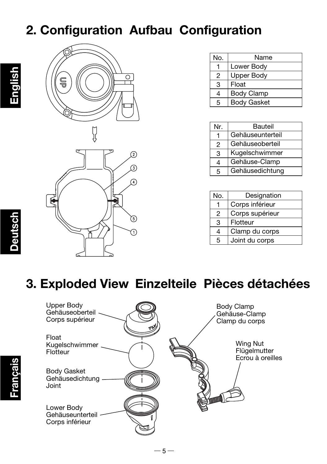#### **2. Configuration Aufbau Configuration**



| No. | Name               |
|-----|--------------------|
|     | Lower Body         |
| 2   | <b>Upper Body</b>  |
| 3   | Float              |
| 4   | <b>Body Clamp</b>  |
| 5   | <b>Body Gasket</b> |

| Nr.            | Bauteil          |  |
|----------------|------------------|--|
|                | Gehäuseunterteil |  |
| 2              | Gehäuseoberteil  |  |
| 3              | Kugelschwimmer   |  |
| $\overline{4}$ | Gehäuse-Clamp    |  |
| 5              | Gehäusedichtung  |  |

| No. | Designation     |  |
|-----|-----------------|--|
|     | Corps inférieur |  |
| 2   | Corps supérieur |  |
| 3   | Flotteur        |  |
| 4   | Clamp du corps  |  |
| 5   | Joint du corps  |  |

**3. Exploded View Einzelteile Pièces détachées**

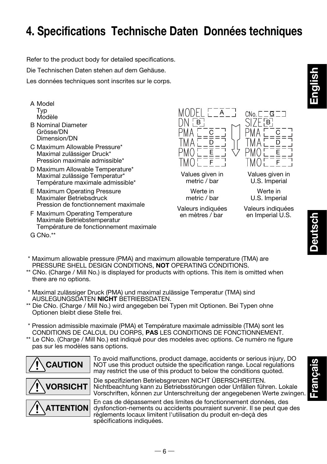#### **4. Specifications Technische Daten Données techniques**

Refer to the product body for detailed specifications.

Die Technischen Daten stehen auf dem Gehäuse.

Les données techniques sont inscrites sur le corps.

- A Model Typ Modèle
- B Nominal Diameter Grösse/DN Dimension/DN
- C Maximum Allowable Pressure\* Maximal zulässiger Druck\* Pression maximale admissible\*
- D Maximum Allowable Temperature\* Maximal zulässige Temperatur\* Température maximale admissible\*
- E Maximum Operating Pressure Maximaler Betriebsdruck Pression de fonctionnement maximale
- G CNo.\*\* F Maximum Operating Temperature Maximale Betriebstemperatur Température de fonctionnement maximale





F TB

Values given in U.S. Imperial

Werte in U.S. Imperial

metric / bar Valeurs indiquées en mètres / bar

Values given in metric / bar Werte in

> Valeurs indiquées en Imperial U.S.

- \* Maximum allowable pressure (PMA) and maximum allowable temperature (TMA) are PRESSURE SHELL DESIGN CONDITIONS, **NOT** OPERATING CONDITIONS.
- \*\* CNo. (Charge / Mill No.) is displayed for products with options. This item is omitted when there are no options.
- \* Maximal zulässiger Druck (PMA) und maximal zulässige Temperatur (TMA) sind AUSLEGUNGSDATEN **NICHT** BETRIEBSDATEN.
- \*\* Die CNo. (Charge / Mill No.) wird angegeben bei Typen mit Optionen. Bei Typen ohne Optionen bleibt diese Stelle frei.
- \* Pression admissible maximale (PMA) et Température maximale admissible (TMA) sont les CONDITIONS DE CALCUL DU CORPS, **PAS** LES CONDITIONS DE FONCTIONNEMENT.
- \*\* Le CNo. (Charge / Mill No.) est indiqué pour des modeles avec options. Ce numéro ne figure pas sur les modèles sans options.



To avoid malfunctions, product damage, accidents or serious injury, DO NOT use this product outside the specification range. Local regulations may restrict the use of this product to below the conditions quoted.

Die spezifizierten Betriebsgrenzen NICHT ÜBERSCHREITEN. Nichtbeachtung kann zu Betriebsstörungen oder Unfällen führen. Lokale Vorschriften, können zur Unterschreitung der angegebenen Werte zwingen.

En cas de dépassement des limites de fonctionnement données, des dysfonction-nements ou accidents pourraient survenir. Il se peut que des règlements locaux limitent l'utilisation du produit en-deçà des spécifications indiquées.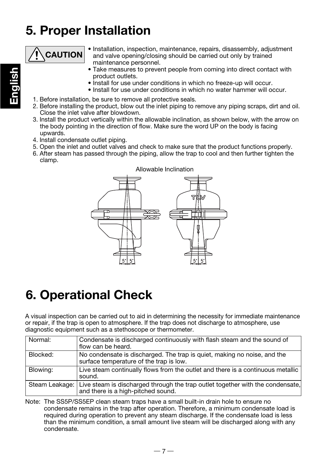# **5. Proper Installation**

|                       | motaliation, inopeetion, maintenance, repairs, alsassembry, adjustment<br><b>CAUTION</b><br>and valve opening/closing should be carried out only by trained<br>maintenance personnel.<br>• Take measures to prevent people from coming into direct contact with<br>product outlets.<br>. Install for use under conditions in which no freeze-up will occur.<br>• Install for use under conditions in which no water hammer will occur. |  |  |  |
|-----------------------|----------------------------------------------------------------------------------------------------------------------------------------------------------------------------------------------------------------------------------------------------------------------------------------------------------------------------------------------------------------------------------------------------------------------------------------|--|--|--|
|                       | 1. Before installation, be sure to remove all protective seals.<br>2. Before installing the product, blow out the inlet piping to remove any piping scraps, dirt and oil.                                                                                                                                                                                                                                                              |  |  |  |
|                       | Close the inlet valve after blowdown.                                                                                                                                                                                                                                                                                                                                                                                                  |  |  |  |
|                       | 3. Install the product vertically within the allowable inclination, as shown below, with the arrow on<br>the body pointing in the direction of flow. Make sure the word UP on the body is facing<br>upwards.                                                                                                                                                                                                                           |  |  |  |
|                       | 4. Install condensate outlet piping.                                                                                                                                                                                                                                                                                                                                                                                                   |  |  |  |
|                       | 5. Open the inlet and outlet valves and check to make sure that the product functions properly.<br>6. After steam has passed through the piping, allow the trap to cool and then further tighten the<br>clamp.                                                                                                                                                                                                                         |  |  |  |
| Allowable Inclination |                                                                                                                                                                                                                                                                                                                                                                                                                                        |  |  |  |
|                       |                                                                                                                                                                                                                                                                                                                                                                                                                                        |  |  |  |

ţ

• Installation, inspection, maintenance, repairs, disassembly, adjustment

**6. Operational Check**

A visual inspection can be carried out to aid in determining the necessity for immediate maintenance or repair, if the trap is open to atmosphere. If the trap does not discharge to atmosphere, use diagnostic equipment such as a stethoscope or thermometer.

| Normal:  | Condensate is discharged continuously with flash steam and the sound of<br>flow can be heard.                                       |
|----------|-------------------------------------------------------------------------------------------------------------------------------------|
| Blocked: | No condensate is discharged. The trap is quiet, making no noise, and the<br>surface temperature of the trap is low.                 |
| Blowing: | Live steam continually flows from the outlet and there is a continuous metallic<br>sound.                                           |
|          | Steam Leakage: Live steam is discharged through the trap outlet together with the condensate.<br>and there is a high-pitched sound. |

Note: The SS5P/SS5EP clean steam traps have a small built-in drain hole to ensure no condensate remains in the trap after operation. Therefore, a minimum condensate load is required during operation to prevent any steam discharge. If the condensate load is less than the minimum condition, a small amount live steam will be discharged along with any condensate.

 $\overline{\phantom{1}}$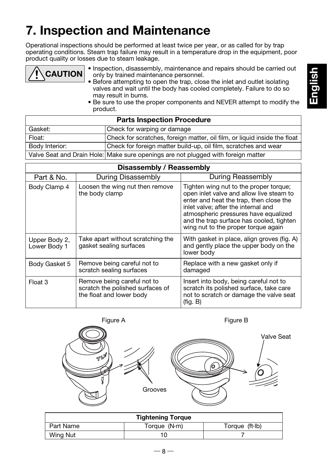# **7. Inspection and Maintenance**

Operational inspections should be performed at least twice per year, or as called for by trap operating conditions. Steam trap failure may result in a temperature drop in the equipment, poor product quality or losses due to steam leakage.



- Inspection, disassembly, maintenance and repairs should be carried out only by trained maintenance personnel.
- Before attempting to open the trap, close the inlet and outlet isolating valves and wait until the body has cooled completely. Failure to do so may result in burns.
- Be sure to use the proper components and NEVER attempt to modify the product.

| <b>Parts Inspection Procedure</b> |                                                                                   |  |
|-----------------------------------|-----------------------------------------------------------------------------------|--|
| Gasket:                           | Check for warping or damage                                                       |  |
| Float:                            | Check for scratches, foreign matter, oil film, or liquid inside the float         |  |
| Body Interior:                    | Check for foreign matter build-up, oil film, scratches and wear                   |  |
|                                   | Valve Seat and Drain Hole: Make sure openings are not plugged with foreign matter |  |

| Disassembly / Reassembly      |                                                                                             |                                                                                                                                                                                                                                                                                                 |  |
|-------------------------------|---------------------------------------------------------------------------------------------|-------------------------------------------------------------------------------------------------------------------------------------------------------------------------------------------------------------------------------------------------------------------------------------------------|--|
| Part & No.                    | During Disassembly                                                                          | During Reassembly                                                                                                                                                                                                                                                                               |  |
| Body Clamp 4                  | Loosen the wing nut then remove<br>the body clamp                                           | Tighten wing nut to the proper torque;<br>open inlet valve and allow live steam to<br>enter and heat the trap, then close the<br>inlet valve; after the internal and<br>atmospheric pressures have equalized<br>and the trap surface has cooled, tighten<br>wing nut to the proper torque again |  |
| Upper Body 2,<br>Lower Body 1 | Take apart without scratching the<br>gasket sealing surfaces                                | With gasket in place, align groves (fig. A)<br>and gently place the upper body on the<br>lower body                                                                                                                                                                                             |  |
| Body Gasket 5                 | Remove being careful not to<br>scratch sealing surfaces                                     | Replace with a new gasket only if<br>damaged                                                                                                                                                                                                                                                    |  |
| Float <sub>3</sub>            | Remove being careful not to<br>scratch the polished surfaces of<br>the float and lower body | Insert into body, being careful not to<br>scratch its polished surface, take care<br>not to scratch or damage the valve seat<br>(fig. B)                                                                                                                                                        |  |



| <b>Tightening Torque</b> |              |                |
|--------------------------|--------------|----------------|
| Part Name                | Torque (N·m) | Torque (ft·lb) |
| Wing Nut                 |              |                |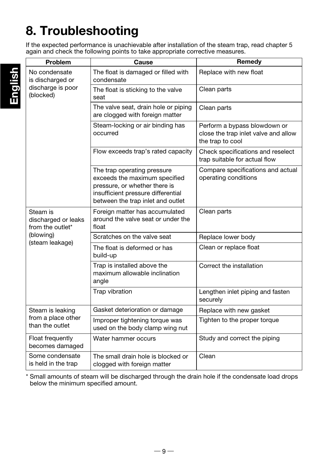# **8. Troubleshooting**

If the expected performance is unachievable after installation of the steam trap, read chapter 5 again and check the following points to take appropriate corrective measures.

| Problem                                             | Cause                                                                                                                                                                    | Remedy                                                                                   |
|-----------------------------------------------------|--------------------------------------------------------------------------------------------------------------------------------------------------------------------------|------------------------------------------------------------------------------------------|
| No condensate<br>is discharged or                   | The float is damaged or filled with<br>condensate                                                                                                                        | Replace with new float                                                                   |
| discharge is poor<br>(blocked)                      | The float is sticking to the valve<br>seat                                                                                                                               | Clean parts                                                                              |
|                                                     | The valve seat, drain hole or piping<br>are clogged with foreign matter                                                                                                  | Clean parts                                                                              |
|                                                     | Steam-locking or air binding has<br>occurred                                                                                                                             | Perform a bypass blowdown or<br>close the trap inlet valve and allow<br>the trap to cool |
|                                                     | Flow exceeds trap's rated capacity                                                                                                                                       | Check specifications and reselect<br>trap suitable for actual flow                       |
|                                                     | The trap operating pressure<br>exceeds the maximum specified<br>pressure, or whether there is<br>insufficient pressure differential<br>between the trap inlet and outlet | Compare specifications and actual<br>operating conditions                                |
| Steam is<br>discharged or leaks<br>from the outlet* | Foreign matter has accumulated<br>around the valve seat or under the<br>float                                                                                            | Clean parts                                                                              |
| (blowing)<br>(steam leakage)                        | Scratches on the valve seat                                                                                                                                              | Replace lower body                                                                       |
|                                                     | The float is deformed or has<br>build-up                                                                                                                                 | Clean or replace float                                                                   |
|                                                     | Trap is installed above the<br>maximum allowable inclination<br>angle                                                                                                    | Correct the installation                                                                 |
|                                                     | Trap vibration                                                                                                                                                           | Lengthen inlet piping and fasten<br>securely                                             |
| Steam is leaking                                    | Gasket deterioration or damage                                                                                                                                           | Replace with new gasket                                                                  |
| from a place other<br>than the outlet               | Improper tightening torque was<br>used on the body clamp wing nut                                                                                                        | Tighten to the proper torque                                                             |
| Float frequently<br>becomes damaged                 | Water hammer occurs                                                                                                                                                      | Study and correct the piping                                                             |
| Some condensate<br>is held in the trap              | The small drain hole is blocked or<br>clogged with foreign matter                                                                                                        | Clean                                                                                    |

\* Small amounts of steam will be discharged through the drain hole if the condensate load drops below the minimum specified amount.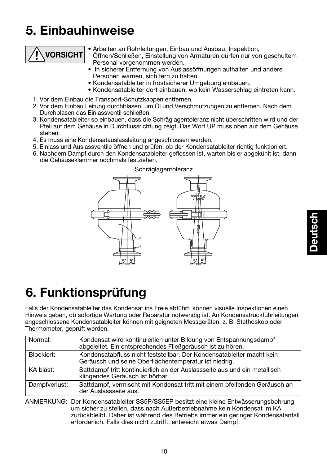# **5. Einbauhinweise**

| <b>VORSICHT</b> |
|-----------------|

- Arbeiten an Rohrleitungen, Einbau und Ausbau, Inspektion, Öffnen/Schließen, Einstellung von Armaturen dürfen nur von geschultem Personal vorgenommen werden.
- In sicherer Entfernung von Auslassöffnungen aufhalten und andere Personen warnen, sich fern zu halten.
- Kondensatableiter in frostsicherer Umgebung einbauen.
- Kondensatableiter dort einbauen, wo kein Wasserschlag eintreten kann.
- 1. Vor dem Einbau die Transport-Schutzkappen entfernen.
- 2. Vor dem Einbau Leitung durchblasen, um Öl und Verschmutzungen zu entfernen. Nach dem Durchblasen das Einlassventil schließen.
- 3. Kondensatableiter so einbauen, dass die Schräglagentoleranz nicht überschritten wird und der Pfeil auf dem Gehäuse in Durchflussrichtung zeigt. Das Wort UP muss oben auf dem Gehäuse stehen.
- 4. Es muss eine Kondensatauslassleitung angeschlossen werden.
- 5. Einlass und Auslassventile öffnen und prüfen, ob der Kondensatableiter richtig funktioniert.
- 6. Nachdem Dampf durch den Kondensatableiter geflossen ist, warten bis er abgekühlt ist, dann die Gehäuseklammer nochmals festziehen.



## **6. Funktionsprüfung**

Falls der Kondensatableiter das Kondensat ins Freie abführt, können visuelle Inspektionen einen Hinweis geben, ob sofortige Wartung oder Reparatur notwendig ist. An Kondensatrückführleitungen angeschlossene Kondensatableiter können mit geigneten Messgeräten, z. B. Stethoskop oder Thermometer, geprüft werden.

| Normal:       | Kondensat wird kontinuierlich unter Bildung von Entspannungsdampf<br>abgeleitet. Ein entsprechendes Fließgeräusch ist zu hören. |
|---------------|---------------------------------------------------------------------------------------------------------------------------------|
| Blockiert:    | Kondensatabfluss nicht feststellbar. Der Kondensatableiter macht kein<br>Geräusch und seine Oberflächentemperatur ist niedrig.  |
| KA bläst:     | Sattdampf tritt kontinuierlich an der Auslassseite aus und ein metallisch<br>klingendes Geräusch ist hörbar.                    |
| Dampfverlust: | Sattdampf, vermischt mit Kondensat tritt mit einem pfeifenden Geräusch an<br>der Auslassseite aus.                              |

ANMERKUNG: Der Kondensatableiter SS5P/SS5EP besitzt eine kleine Entwässerungsbohrung um sicher zu stellen, dass nach Außerbetriebnahme kein Kondensat im KA zurückbleibt. Daher ist während des Betriebs immer ein geringer Kondensatanfall erforderlich. Falls dies nicht zutrifft, entweicht etwas Dampf.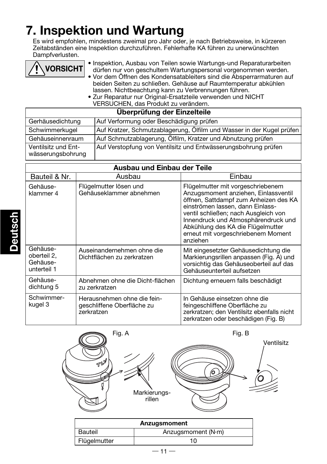# **7. Inspektion und Wartung**

Es wird empfohlen, mindestens zweimal pro Jahr oder, je nach Betriebsweise, in kürzeren Zeitabständen eine Inspektion durchzuführen. Fehlerhafte KA führen zu unerwünschten Dampfverlusten.



- Inspektion, Ausbau von Teilen sowie Wartungs-und Reparaturarbeiten dürfen nur von geschultem Wartungspersonal vorgenommen werden.
- Vor dem Öffnen des Kondensatableiters sind die Absperrarmaturen auf beiden Seiten zu schließen. Gehäuse auf Raumtemperatur abkühlen lassen. Nichtbeachtung kann zu Verbrennungen führen.
- Zur Reparatur nur Original-Ersatzteile verwenden und NICHT VERSUCHEN, das Produkt zu verändern.

| Uberprüfung der Einzelteile              |                                                                       |  |
|------------------------------------------|-----------------------------------------------------------------------|--|
| Gerhäusedichtung                         | Auf Verformung oder Beschädigung prüfen                               |  |
| Schwimmerkugel                           | Auf Kratzer, Schmutzablagerung, Ölfilm und Wasser in der Kugel prüfen |  |
| Gehäuseinnenraum                         | Auf Schmutzablagerung, Ölfilm, Kratzer und Abnutzung prüfen           |  |
| Ventilsitz und Ent-<br>wässerungsbohrung | Auf Verstopfung von Ventilsitz und Entwässerungsbohrung prüfen        |  |

| Ausbau und Einbau der Teile                        |                                                                         |                                                                                                                                                                                                                                                                                                                              |  |
|----------------------------------------------------|-------------------------------------------------------------------------|------------------------------------------------------------------------------------------------------------------------------------------------------------------------------------------------------------------------------------------------------------------------------------------------------------------------------|--|
| Bauteil & Nr.                                      | Ausbau                                                                  | Einbau                                                                                                                                                                                                                                                                                                                       |  |
| Gehäuse-<br>klammer 4                              | Flügelmutter lösen und<br>Gehäuseklammer abnehmen                       | Flügelmutter mit vorgeschriebenem<br>Anzugsmoment anziehen, Einlassventil<br>öffnen, Sattdampf zum Anheizen des KA<br>einströmen lassen, dann Einlass-<br>ventil schließen; nach Ausgleich von<br>Innendruck und Atmosphärendruck und<br>Abkühlung des KA die Flügelmutter<br>erneut mit vorgeschriebenem Moment<br>anziehen |  |
| Gehäuse-<br>oberteil 2,<br>Gehäuse-<br>unterteil 1 | Auseinandernehmen ohne die<br>Dichtflächen zu zerkratzen                | Mit eingesetzter Gehäusedichtung die<br>Markierungsrillen anpassen (Fig. A) und<br>vorsichtig das Gehäuseoberteil auf das<br>Gehäuseunterteil aufsetzen                                                                                                                                                                      |  |
| Gehäuse-<br>dichtung 5                             | Abnehmen ohne die Dicht-flächen<br>zu zerkratzen                        | Dichtung erneuern falls beschädigt                                                                                                                                                                                                                                                                                           |  |
| Schwimmer-<br>kugel 3                              | Herausnehmen ohne die fein-<br>geschliffene Oberfläche zu<br>zerkratzen | In Gehäuse einsetzen ohne die<br>feingeschliffene Oberfläche zu<br>zerkratzen; den Ventilsitz ebenfalls nicht<br>zerkratzen oder beschädigen (Fig. B)                                                                                                                                                                        |  |



| Anzugsmoment |                    |  |
|--------------|--------------------|--|
| Bauteil      | Anzugsmoment (N·m) |  |
| Flügelmutter | 10                 |  |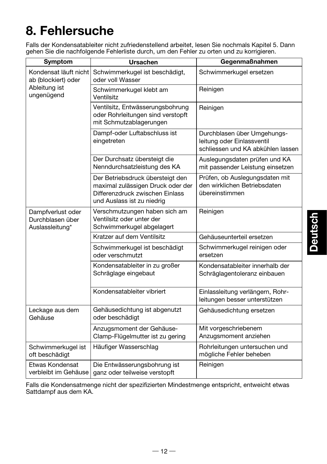# **8. Fehlersuche**

Falls der Kondensatableiter nicht zufriedenstellend arbeitet, lesen Sie nochmals Kapitel 5. Dann gehen Sie die nachfolgende Fehlerliste durch, um den Fehler zu orten und zu korrigieren.

| Symptom                                                                     | <b>Ursachen</b>                                                                                                                        | Gegenmaßnahmen                                                                                 |
|-----------------------------------------------------------------------------|----------------------------------------------------------------------------------------------------------------------------------------|------------------------------------------------------------------------------------------------|
| Kondensat läuft nicht<br>ab (blockiert) oder<br>Ableitung ist<br>ungenügend | Schwimmerkugel ist beschädigt,<br>oder voll Wasser                                                                                     | Schwimmerkugel ersetzen                                                                        |
|                                                                             | Schwimmerkugel klebt am<br>Ventilsitz                                                                                                  | Reinigen                                                                                       |
|                                                                             | Ventilsitz, Entwässerungsbohrung<br>oder Rohrleitungen sind verstopft<br>mit Schmutzablagerungen                                       | Reinigen                                                                                       |
|                                                                             | Dampf-oder Luftabschluss ist<br>eingetreten                                                                                            | Durchblasen über Umgehungs-<br>leitung oder Einlassventil<br>schliessen und KA abkühlen lassen |
|                                                                             | Der Durchsatz übersteigt die<br>Nenndurchsatzleistung des KA                                                                           | Auslegungsdaten prüfen und KA<br>mit passender Leistung einsetzen                              |
|                                                                             | Der Betriebsdruck übersteigt den<br>maximal zulässigen Druck oder der<br>Differenzdruck zwischen Einlass<br>und Auslass ist zu niedrig | Prüfen, ob Auslegungsdaten mit<br>den wirklichen Betriebsdaten<br>übereinstimmen               |
| Dampfverlust oder<br>Durchblasen über<br>Auslassleitung*                    | Verschmutzungen haben sich am<br>Ventilsitz oder unter der<br>Schwimmerkugel abgelagert                                                | Reinigen                                                                                       |
|                                                                             | Kratzer auf dem Ventilsitz                                                                                                             | Gehäuseunterteil ersetzen                                                                      |
|                                                                             | Schwimmerkugel ist beschädigt<br>oder verschmutzt                                                                                      | Schwimmerkugel reinigen oder<br>ersetzen                                                       |
|                                                                             | Kondensatableiter in zu großer<br>Schräglage eingebaut                                                                                 | Kondensatableiter innerhalb der<br>Schräglagentoleranz einbauen                                |
|                                                                             | Kondensatableiter vibriert                                                                                                             | Einlassleitung verlängern, Rohr-<br>leitungen besser unterstützen                              |
| Leckage aus dem<br>Gehäuse                                                  | Gehäusedichtung ist abgenutzt<br>oder beschädigt                                                                                       | Gehäusedichtung ersetzen                                                                       |
|                                                                             | Anzugsmoment der Gehäuse-<br>Clamp-Flügelmutter ist zu gering                                                                          | Mit vorgeschriebenem<br>Anzugsmoment anziehen                                                  |
| Schwimmerkugel ist<br>oft beschädigt                                        | Häufiger Wasserschlag                                                                                                                  | Rohrleitungen untersuchen und<br>mögliche Fehler beheben                                       |
| Etwas Kondensat<br>verbleibt im Gehäuse                                     | Die Entwässerungsbohrung ist<br>ganz oder teilweise verstopft                                                                          | Reinigen                                                                                       |

Falls die Kondensatmenge nicht der spezifizierten Mindestmenge entspricht, entweicht etwas Sattdampf aus dem KA.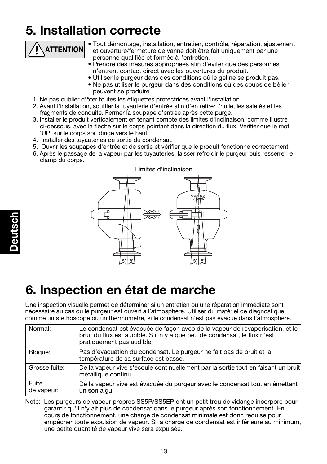# **5. Installation correcte**

| \ ATTENTION |
|-------------|
|             |
|             |

- Tout démontage, installation, entretien, contrôle, réparation, ajustement et ouverture/fermeture de vanne doit être fait uniquement par une personne qualifiée et formée à l'entretien.
- Prendre des mesures appropriées afin d'éviter que des personnes n'entrent contact direct avec les ouvertures du produit.
- Utiliser le purgeur dans des conditions où le gel ne se produit pas.
- Ne pas utiliser le purgeur dans des conditions où des coups de bélier peuvent se produire
- 1. Ne pas oublier d'ôter toutes les étiquettes protectrices avant l'installation.
- 2. Avant l'installation, souffler la tuyauterie d'entrée afin d'en retirer l'huile, les saletés et les fragments de conduite. Fermer la soupape d'entrée après cette purge.
- 3. Installer le produit verticalement en tenant compte des limites d'inclinaison, comme illustré ci-dessous, avec la flèche sur le corps pointant dans la direction du flux. Vérifier que le mot 'UP' sur le corps soit dirigé vers le haut.
- 4. Installer des tuyauteries de sortie du condensat.
- 5. Ouvrir les soupapes d'entrée et de sortie et vérifier que le produit fonctionne correctement.
- 6. Après le passage de la vapeur par les tuyauteries, laisser refroidir le purgeur puis resserrer le clamp du corps.



## **6. Inspection en état de marche**

Une inspection visuelle permet de déterminer si un entretien ou une réparation immédiate sont nécessaire au cas ou le purgeur est ouvert a l'atmosphère. Utiliser du matériel de diagnostique, comme un stéthoscope ou un thermomètre, si le condensat n'est pas évacué dans I'atmosphère.

| Normal:             | Le condensat est évacuée de façon avec de la vapeur de revaporisation, et le<br>bruit du flux est audible. S'il n'y a que peu de condensat, le flux n'est<br>pratiquement pas audible. |
|---------------------|----------------------------------------------------------------------------------------------------------------------------------------------------------------------------------------|
| Bloque:             | Pas d'évacuation du condensat. Le purgeur ne fait pas de bruit et la<br>température de sa surface est basse.                                                                           |
| Grosse fuite:       | De la vapeur vive s'écoule continuellement par la sortie tout en faisant un bruit<br>métallique continu.                                                                               |
| Fuite<br>de vapeur: | De la vapeur vive est évacuée du purgeur avec le condensat tout en émettant<br>un son aigu.                                                                                            |

Note: Les purgeurs de vapeur propres SS5P/SS5EP ont un petit trou de vidange incorporé pour garantir qu'il n'y ait plus de condensat dans le purgeur après son fonctionnement. En cours de fonctionnement, une charge de condensat minimale est donc requise pour empêcher toute expulsion de vapeur. Si la charge de condensat est inférieure au minimum, une petite quantité de vapeur vive sera expulsée.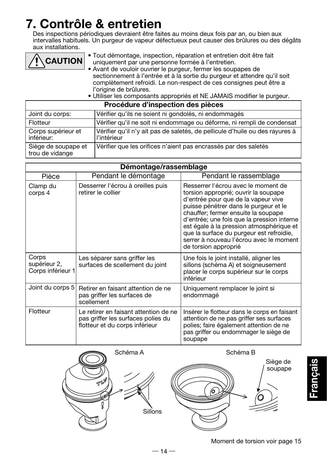#### **7. Contrôle & entretien**

Des inspections périodiques devraient être faites au moins deux fois par an, ou bien aux intervalles habituels. Un purgeur de vapeur défectueux peut causer des brûlures ou des dégâts aux installations.



• Tout démontage, inspection, réparation et entretien doit être fait uniquement par une personne formée à l'entretien.

• Avant de vouloir ouvrier le purgeur, fermer les soupapes de sectionnement à l'entrée et à la sortie du purgeur et attendre qu'il soit complètement refroidi. Le non-respect de ces consignes peut être a l'origine de brûlures.

• Utiliser les composants appropriés et NE JAMAIS modifier le purgeur.

| Procédure d'inspection des pièces      |                                                                                             |  |
|----------------------------------------|---------------------------------------------------------------------------------------------|--|
| Joint du corps:                        | Vérifier qu'ils ne soient ni gondolés, ni endommagés                                        |  |
| Flotteur                               | Vérifier qu'il ne soit ni endommage ou déforme, ni rempli de condensat                      |  |
| Corps supérieur et<br>inférieur:       | Vérifier qu'il n'y ait pas de saletés, de pellicule d'huile ou des rayures à<br>l'intérieur |  |
| Siège de soupape et<br>trou de vidange | Vérifier que les orifices n'aient pas encrassés par des saletés                             |  |

| Démontage/rassemblage                      |                                                                                                               |                                                                                                                                                                                                                                                                                                                                                                                                             |  |
|--------------------------------------------|---------------------------------------------------------------------------------------------------------------|-------------------------------------------------------------------------------------------------------------------------------------------------------------------------------------------------------------------------------------------------------------------------------------------------------------------------------------------------------------------------------------------------------------|--|
| Pièce                                      | Pendant le démontage                                                                                          | Pendant le rassemblage                                                                                                                                                                                                                                                                                                                                                                                      |  |
| Clamp du<br>corps 4                        | Desserrer l'écrou à oreilles puis<br>retirer le collier                                                       | Resserrer l'écrou avec le moment de<br>torsion approprié; ouvrir la soupape<br>d'entrée pour que de la vapeur vive<br>puisse pénétrer dans le purgeur et le<br>chauffer; fermer ensuite la soupape<br>d'entrée; une fois que la pression interne<br>est égale à la pression atmosphérique et<br>que la surface du purgeur est refroidie,<br>serrer à nouveau l'écrou avec le moment<br>de torsion approprié |  |
| Corps<br>supérieur 2,<br>Corps inférieur 1 | Les séparer sans griffer les<br>surfaces de scellement du joint                                               | Une fois le joint installé, aligner les<br>sillons (schéma A) et soigneusement<br>placer le corps supérieur sur le corps<br>inférieur                                                                                                                                                                                                                                                                       |  |
| Joint du corps 5                           | Retirer en faisant attention de ne<br>pas griffer les surfaces de<br>scellement                               | Uniquement remplacer le joint si<br>endommagé                                                                                                                                                                                                                                                                                                                                                               |  |
| Flotteur                                   | Le retirer en faisant attention de ne<br>pas griffer les surfaces polies du<br>flotteur et du corps inférieur | Insérer le flotteur dans le corps en faisant<br>attention de ne pas griffer ses surfaces<br>polies; faire également attention de ne<br>pas griffer ou endommager le siège de<br>soupape                                                                                                                                                                                                                     |  |

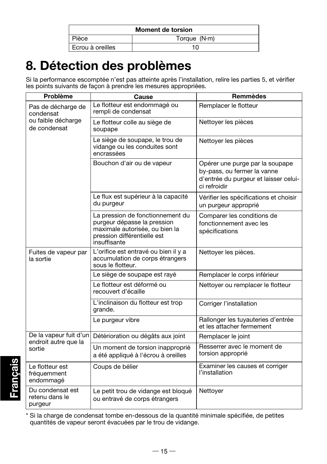| Moment de torsion |              |  |
|-------------------|--------------|--|
| 'ièce             | Torque (N·m) |  |
| Ecrou à oreilles  |              |  |

#### **8. Détection des problèmes**

Si la performance escomptée n'est pas atteinte après l'installation, relire les parties 5, et vérifier les points suivants de façon à prendre les mesures appropriées.

| Problème                                                              | Cause                                                                                                                                            | Remmèdes                                                                                                                |
|-----------------------------------------------------------------------|--------------------------------------------------------------------------------------------------------------------------------------------------|-------------------------------------------------------------------------------------------------------------------------|
| Pas de décharge de<br>condensat<br>ou faible décharge<br>de condensat | Le flotteur est endommagé ou<br>rempli de condensat                                                                                              | Remplacer le flotteur                                                                                                   |
|                                                                       | Le flotteur colle au siège de<br>soupape                                                                                                         | Nettoyer les pièces                                                                                                     |
|                                                                       | Le siège de soupape, le trou de<br>vidange ou les conduites sont<br>encrassées                                                                   | Nettoyer les pièces                                                                                                     |
|                                                                       | Bouchon d'air ou de vapeur                                                                                                                       | Opérer une purge par la soupape<br>by-pass, ou fermer la vanne<br>d'entrée du purgeur et laisser celui-<br>ci refroidir |
|                                                                       | Le flux est supérieur à la capacité<br>du purgeur                                                                                                | Vérifier les spécifications et choisir<br>un purgeur approprié                                                          |
|                                                                       | La pression de fonctionnement du<br>purgeur dépasse la pression<br>maximale autorisée, ou bien la<br>pression différentielle est<br>insuffisante | Comparer les conditions de<br>fonctionnement avec les<br>spécifications                                                 |
| Fuites de vapeur par<br>la sortie                                     | L'orifice est entravé ou bien il y a<br>accumulation de corps étrangers<br>sous le flotteur.                                                     | Nettoyer les pièces.                                                                                                    |
|                                                                       | Le siège de soupape est rayé                                                                                                                     | Remplacer le corps inférieur                                                                                            |
|                                                                       | Le flotteur est déformé ou<br>recouvert d'écaille                                                                                                | Nettoyer ou remplacer le flotteur                                                                                       |
|                                                                       | L'inclinaison du flotteur est trop<br>arande.                                                                                                    | Corriger l'installation                                                                                                 |
|                                                                       | Le purgeur vibre                                                                                                                                 | Rallonger les tuyauteries d'entrée<br>et les attacher fermement                                                         |
| De la vapeur fuit d'un<br>endroit autre que la                        | Détérioration ou dégâts aux joint                                                                                                                | Remplacer le joint                                                                                                      |
| sortie                                                                | Un moment de torsion inapproprié<br>a été appliqué à l'écrou à oreilles                                                                          | Resserrer avec le moment de<br>torsion approprié                                                                        |
| Le flotteur est<br>fréquemment<br>endommagé                           | Coups de bélier                                                                                                                                  | Examiner les causes et corriger<br>l'installation                                                                       |
| Du condensat est<br>retenu dans le<br>purgeur                         | Le petit trou de vidange est bloqué<br>ou entravé de corps étrangers                                                                             | Nettoyer                                                                                                                |

\* Si la charge de condensat tombe en-dessous de la quantité minimale spécifiée, de petites quantités de vapeur seront évacuées par le trou de vidange.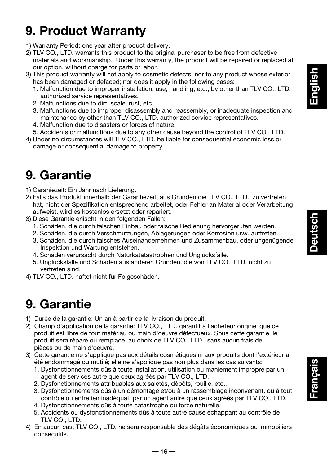# **9. Product Warranty**

- 1) Warranty Period: one year after product delivery.
- 2) TLV CO., LTD. warrants this product to the original purchaser to be free from defective materials and workmanship. Under this warranty, the product will be repaired or replaced at our option, without charge for parts or labor.
- 3) This product warranty will not apply to cosmetic defects, nor to any product whose exterior has been damaged or defaced; nor does it apply in the following cases:
	- 1. Malfunction due to improper installation, use, handling, etc., by other than TLV CO., LTD. authorized service representatives.
	- 2. Malfunctions due to dirt, scale, rust, etc.
	- 3. Malfunctions due to improper disassembly and reassembly, or inadequate inspection and maintenance by other than TLV CO., LTD. authorized service representatives.
	- 4. Malfunction due to disasters or forces of nature.
	- 5. Accidents or malfunctions due to any other cause beyond the control of TLV CO., LTD.
- 4) Under no circumstances will TLV CO., LTD. be liable for consequential economic loss or damage or consequential damage to property.

#### **9. Garantie**

- 1) Garaniezeit: Ein Jahr nach Lieferung.
- 2) Falls das Produkt innerhalb der Garantiezeit, aus Gründen die TLV CO., LTD. zu vertreten hat, nicht der Spezifikation entsprechend arbeitet, oder Fehler an Material oder Verarbeitung aufweist, wird es kostenlos ersetzt oder repariert.
- 3) Diese Garantie erlischt in den folgenden Fällen:
	- 1. Schäden, die durch falschen Einbau oder falsche Bedienung hervorgerufen werden.
	- 2. Schäden, die durch Verschmutzungen, Ablagerungen oder Korrosion usw. auftreten.
	- 3. Schäden, die durch falsches Auseinandernehmen und Zusammenbau, oder ungenügende Inspektion und Wartung entstehen.
	- 4. Schäden verursacht durch Naturkatatastrophen und Unglücksfälle.
	- 5. Unglücksfälle und Schäden aus anderen Gründen, die von TLV CO., LTD. nicht zu vertreten sind.
- 4) TLV CO., LTD. haftet nicht für Folgeschäden.

#### **9. Garantie**

- 1) Durée de la garantie: Un an à partir de la livraison du produit.
- 2) Champ d'application de la garantie: TLV CO., LTD. garantit à l'acheteur originel que ce produit est libre de tout matériau ou main d'oeuvre défectueux. Sous cette garantie, le produit sera réparé ou remplacé, au choix de TLV CO., LTD., sans aucun frais de pièces ou de main d'oeuvre.
- 3) Cette garantie ne s'applique pas aux détails cosmétiques ni aux produits dont l'extérieur a été endommagé ou mutilé; elle ne s'applique pas non plus dans les cas suivants:
	- 1. Dysfonctionnements dûs à toute installation, utilisation ou maniement impropre par un agent de services autre que ceux agréés par TLV CO., LTD.
	- 2. Dysfonctionnements attribuables aux saletés, dépôts, rouille, etc...
	- 3. Dysfonctionnements dûs à un démontage et/ou à un rassemblage inconvenant, ou à tout contrôle ou entretien inadéquat, par un agent autre que ceux agréés par TLV CO., LTD.
	- 4. Dysfonctionnements dûs à toute catastrophe ou force naturelle.
	- 5. Accidents ou dysfonctionnements dûs à toute autre cause échappant au contrôle de TLV CO., LTD.
- 4) En aucun cas, TLV CO., LTD. ne sera responsable des dégâts économiques ou immobiliers consécutifs.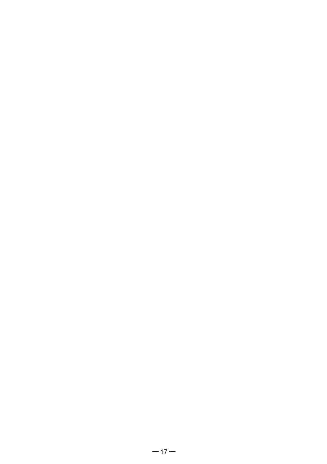$-17-$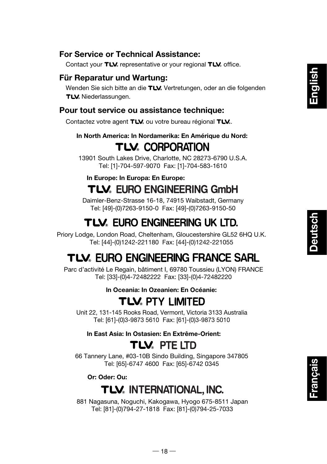#### **For Service or Technical Assistance:**

Contact your TLV representative or your regional TLV office.

#### **Für Reparatur und Wartung:**

Wenden Sie sich bitte an die TLV. Vertretungen, oder an die folgenden TLV, Niederlassungen.

#### **Pour tout service ou assistance technique:**

Contactez votre agent TLV ou votre bureau régional TLV.

#### **In North America: In Nordamerika: En Amérique du Nord: TLV. CORPORATION**

13901 South Lakes Drive, Charlotte, NC 28273-6790 U.S.A. Tel: [1]-704-597-9070 Fax: [1]-704-583-1610

#### **In Europe: In Europa: En Europe: TLV. EURO ENGINEERING GmbH**

Daimler-Benz-Strasse 16-18, 74915 Waibstadt, Germany Tel: [49]-(0)7263-9150-0 Fax: [49]-(0)7263-9150-50

#### **TLV. EURO ENGINEERING UK LTD.**

Priory Lodge, London Road, Cheltenham, Gloucestershire GL52 6HQ U.K. Tel: [44]-(0)1242-221180 Fax: [44]-(0)1242-221055

#### TLV. EURO ENGINEERING FRANCE SARL

Parc d'activité Le Regain, bâtiment I, 69780 Toussieu (LYON) FRANCE Tel: [33]-(0)4-72482222 Fax: [33]-(0)4-72482220

**ln Oceania: In Ozeanien: En Océanie:**

#### **TLV. PTY LIMITED**

Unit 22, 131-145 Rooks Road, Vermont, Victoria 3133 Australia Tel: [61]-(0)3-9873 5610 Fax: [61]-(0)3-9873 5010

#### **ln East Asia: In Ostasien: En Extrême-Orient:**

#### **TLV. PTE LTD**

66 Tannery Lane, #03-10B Sindo Building, Singapore 347805 Tel: [65]-6747 4600 Fax: [65]-6742 0345

**Or: Oder: Ou:** 

#### **TLV. INTERNATIONAL. INC.**

881 Nagasuna, Noguchi, Kakogawa, Hyogo 675-8511 Japan Tel: [81]-(0)794-27-1818 Fax: [81]-(0)794-25-7033